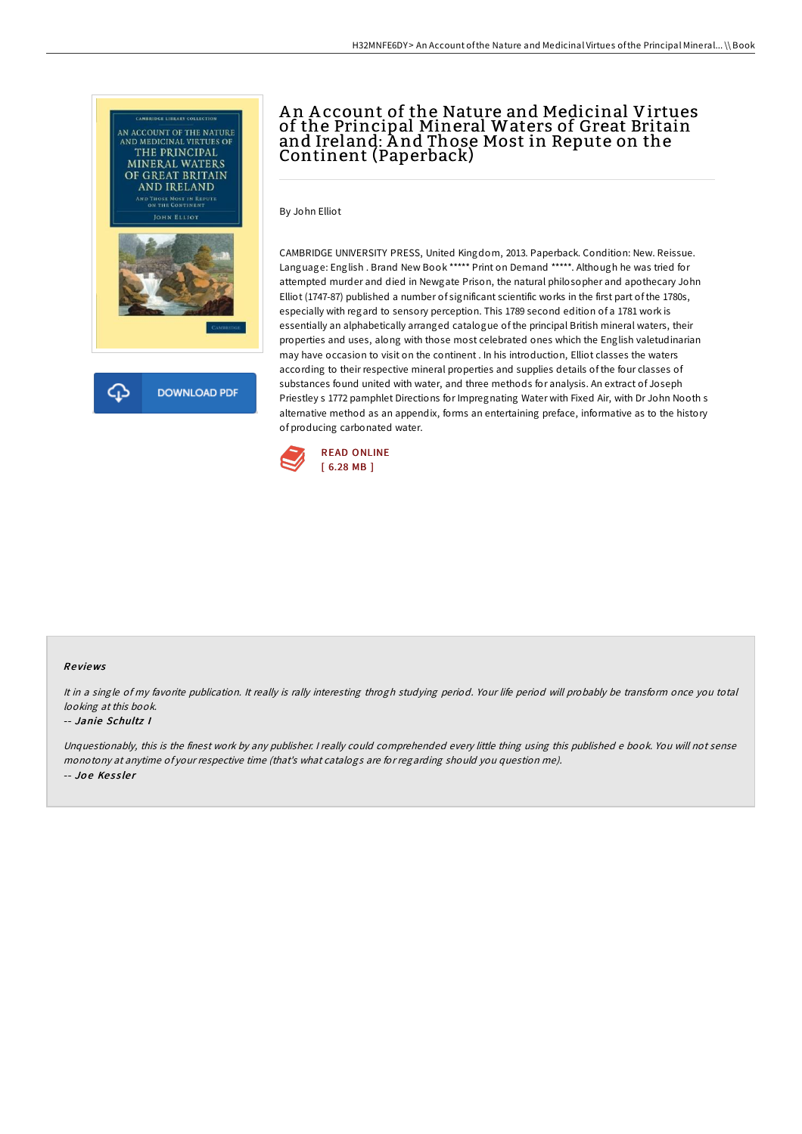



## An Account of the Nature and Medicinal Virtues of the Principal Mineral Waters of Great Britain and Ireland: A nd Those Most in Repute on the Continent (Paperback)

By John Elliot

CAMBRIDGE UNIVERSITY PRESS, United Kingdom, 2013. Paperback. Condition: New. Reissue. Language: English . Brand New Book \*\*\*\*\* Print on Demand \*\*\*\*\*. Although he was tried for attempted murder and died in Newgate Prison, the natural philosopher and apothecary John Elliot (1747-87) published a number of significant scientific works in the first part of the 1780s, especially with regard to sensory perception. This 1789 second edition of a 1781 work is essentially an alphabetically arranged catalogue of the principal British mineral waters, their properties and uses, along with those most celebrated ones which the English valetudinarian may have occasion to visit on the continent . In his introduction, Elliot classes the waters according to their respective mineral properties and supplies details of the four classes of substances found united with water, and three methods for analysis. An extract of Joseph Priestley s 1772 pamphlet Directions for Impregnating Water with Fixed Air, with Dr John Nooth s alternative method as an appendix, forms an entertaining preface, informative as to the history of producing carbonated water.



## Re views

It in <sup>a</sup> single of my favorite publication. It really is rally interesting throgh studying period. Your life period will probably be transform once you total looking at this book.

## -- Janie Schultz I

Unquestionably, this is the finest work by any publisher. <sup>I</sup> really could comprehended every little thing using this published <sup>e</sup> book. You will not sense monotony at anytime of your respective time (that's what catalogs are for regarding should you question me). -- Joe Kessler